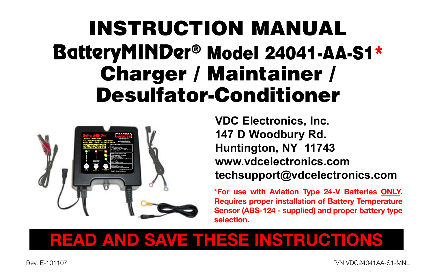# INSTRUCTION MANUAL BatteryMINDer® Model 24041-AA-S1\* Charger / Maintainer / Desulfator-Conditioner



**VDC Electronics, Inc. 147 D Woodbury Rd. Huntington, NY 11743 www.vdcelectronics.com techsupport@vdcelectronics.com**

**\*For use with Aviation Type 24-V Batteries ONLY. Requires proper installation of Battery Temperature Sensor (ABS-124 - supplied) and proper battery type selection.**

# **READ AND SAVE THESE INSTRUCTIONS**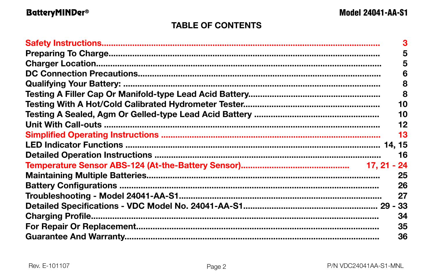## **TABLE OF CONTENTS**

| 5   |
|-----|
| 5   |
| 6   |
| 8   |
| 8   |
| 10  |
| 10  |
| 12  |
| 13  |
|     |
| 16  |
| -24 |
| 25  |
| 26  |
| 27  |
|     |
| 34  |
| 35  |
| 36  |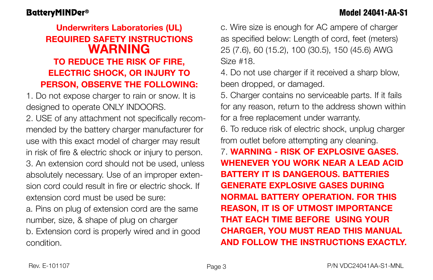# **Underwriters Laboratories (UL) REQUIRED SAFETY INSTRUCTIONS WARNING TO REDUCE THE RISK OF FIRE, ELECTRIC SHOCK, OR INJURY TO PERSON, OBSERVE THE FOLLOWING:**

1. Do not expose charger to rain or snow. It is designed to operate ONLY INDOORS.

2. USE of any attachment not specifically recommended by the battery charger manufacturer for use with this exact model of charger may result in risk of fire & electric shock or injury to person. 3. An extension cord should not be used, unless absolutely necessary. Use of an improper extension cord could result in fire or electric shock. If extension cord must be used be sure:

a. Pins on plug of extension cord are the same number, size, & shape of plug on charger b. Extension cord is properly wired and in good condition.

c. Wire size is enough for AC ampere of charger as specified below: Length of cord, feet (meters) 25 (7.6), 60 (15.2), 100 (30.5), 150 (45.6) AWG Size #18.

4. Do not use charger if it received a sharp blow, been dropped, or damaged.

5. Charger contains no serviceable parts. If it fails for any reason, return to the address shown within for a free replacement under warranty.

6. To reduce risk of electric shock, unplug charger from outlet before attempting any cleaning.

7. **WARNING - RISK OF EXPLOSIVE GASES. WHENEVER YOU WORK NEAR A LEAD ACID BATTERY IT IS DANGEROUS. BATTERIES GENERATE EXPLOSIVE GASES DURING NORMAL BATTERY OPERATION. FOR THIS REASON, IT IS OF UTMOST IMPORTANCE THAT EACH TIME BEFORE USING YOUR CHARGER, YOU MUST READ THIS MANUAL AND FOLLOW THE INSTRUCTIONS EXACTLY.**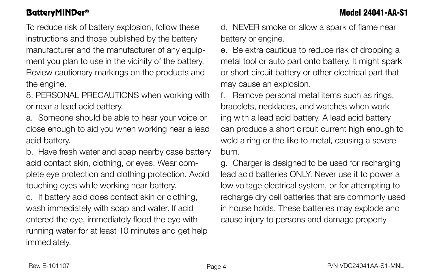To reduce risk of battery explosion, follow these instructions and those published by the battery manufacturer and the manufacturer of any equipment you plan to use in the vicinity of the battery. Review cautionary markings on the products and the engine.

8. PERSONAL PRECAUTIONS when working with or near a lead acid battery.

a. Someone should be able to hear your voice or close enough to aid you when working near a lead acid battery.

b. Have fresh water and soap nearby case battery acid contact skin, clothing, or eyes. Wear complete eye protection and clothing protection. Avoid touching eyes while working near battery.

c. If battery acid does contact skin or clothing, wash immediately with soap and water. If acid entered the eye, immediately flood the eye with running water for at least 10 minutes and get help immediately.

d. NEVER smoke or allow a spark of flame near battery or engine.

e. Be extra cautious to reduce risk of dropping a metal tool or auto part onto battery. It might spark or short circuit battery or other electrical part that may cause an explosion.

f. Remove personal metal items such as rings, bracelets, necklaces, and watches when working with a lead acid battery. A lead acid battery can produce a short circuit current high enough to weld a ring or the like to metal, causing a severe burn.

g. Charger is designed to be used for recharging lead acid batteries ONLY. Never use it to power a low voltage electrical system, or for attempting to recharge dry cell batteries that are commonly used in house holds. These batteries may explode and cause injury to persons and damage property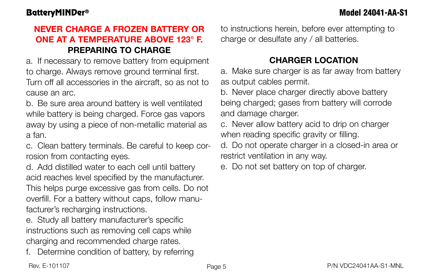# **NEVER CHARGE A FROZEN BATTERY OR ONE AT A TEMPERATURE ABOVE 123° F. PREPARING TO CHARGE**

a. If necessary to remove battery from equipment to charge. Always remove ground terminal first. Turn off all accessories in the aircraft, so as not to cause an arc.

b. Be sure area around battery is well ventilated while battery is being charged. Force gas vapors away by using a piece of non-metallic material as a fan.

c. Clean battery terminals. Be careful to keep corrosion from contacting eyes.

d. Add distilled water to each cell until battery acid reaches level specified by the manufacturer. This helps purge excessive gas from cells. Do not overfill. For a battery without caps, follow manufacturer's recharging instructions.

e. Study all battery manufacturer's specific instructions such as removing cell caps while charging and recommended charge rates.

f. Determine condition of battery, by referring

to instructions herein, before ever attempting to charge or desulfate any / all batteries.

# **CHARGER LOCATION**

a. Make sure charger is as far away from battery as output cables permit.

b. Never place charger directly above battery being charged; gases from battery will corrode and damage charger.

c. Never allow battery acid to drip on charger when reading specific gravity or filling.

d. Do not operate charger in a closed-in area or restrict ventilation in any way.

e. Do not set battery on top of charger.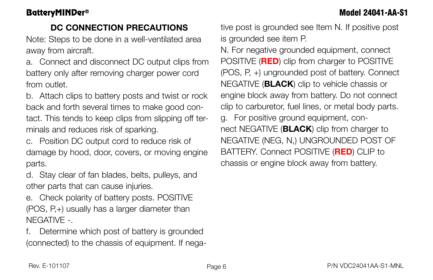# **DC CONNECTION PRECAUTIONS**

Note: Steps to be done in a well-ventilated area away from aircraft.

a. Connect and disconnect DC output clips from battery only after removing charger power cord from outlet.

b. Attach clips to battery posts and twist or rock back and forth several times to make good contact. This tends to keep clips from slipping off terminals and reduces risk of sparking.

c. Position DC output cord to reduce risk of damage by hood, door, covers, or moving engine parts.

d. Stay clear of fan blades, belts, pulleys, and other parts that can cause injuries.

e. Check polarity of battery posts. POSITIVE (POS, P,+) usually has a larger diameter than NEGATIVE -.

f. Determine which post of battery is grounded (connected) to the chassis of equipment. If negative post is grounded see Item N. If positive post is grounded see item P.

N. For negative grounded equipment, connect POSITIVE (**RED**) clip from charger to POSITIVE (POS, P, +) ungrounded post of battery. Connect NEGATIVE (**BLACK**) clip to vehicle chassis or engine block away from battery. Do not connect clip to carburetor, fuel lines, or metal body parts. g. For positive ground equipment, connect NEGATIVE (**BLACK**) clip from charger to NEGATIVE (NEG, N,) UNGROUNDED POST OF BATTERY. Connect POSITIVE (**RED**) CLIP to chassis or engine block away from battery.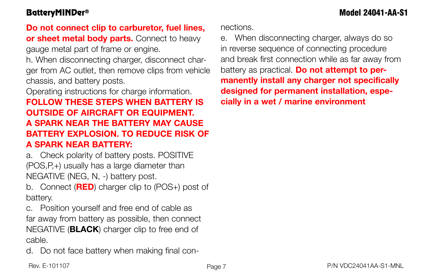# **Do not connect clip to carburetor, fuel lines,**

**or sheet metal body parts.** Connect to heavy gauge metal part of frame or engine.

h. When disconnecting charger, disconnect charger from AC outlet, then remove clips from vehicle chassis, and battery posts.

Operating instructions for charge information.

# **FOLLOW THESE STEPS WHEN BATTERY IS OUTSIDE OF AIRCRAFT OR EQUIPMENT. A SPARK NEAR THE BATTERY MAY CAUSE BATTERY EXPLOSION. TO REDUCE RISK OF A SPARK NEAR BATTERY:**

a. Check polarity of battery posts. POSITIVE (POS,P,+) usually has a large diameter than NEGATIVE (NEG, N, -) battery post.

b. Connect (**RED**) charger clip to (POS+) post of battery.

c. Position yourself and free end of cable as far away from battery as possible, then connect NEGATIVE (**BLACK**) charger clip to free end of cable.

d. Do not face battery when making final con-

nections.

e. When disconnecting charger, always do so in reverse sequence of connecting procedure and break first connection while as far away from battery as practical. **Do not attempt to permanently install any charger not specifically designed for permanent installation, especially in a wet / marine environment**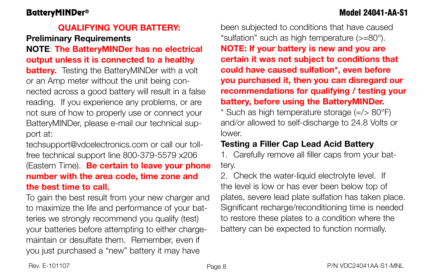# BatteryMINDer® Model 24041-AA-S1

### **QUALIFYING YOUR BATTERY:**

## **Preliminary Requirements**

### **NOTE**: **The BatteryMINDer has no electrical output unless it is connected to a healthy**

**battery.** Testing the BatteryMINDer with a volt or an Amp meter without the unit being connected across a good battery will result in a false reading. If you experience any problems, or are not sure of how to properly use or connect your BatteryMINDer, please e-mail our technical support at:

techsupport@vdcelectronics.com or call our tollfree technical support line 800-379-5579 x206 (Eastern Time). **Be certain to leave your phone number with the area code, time zone and the best time to call.**

To gain the best result from your new charger and to maximize the life and performance of your batteries we strongly recommend you qualify (test) your batteries before attempting to either chargemaintain or desulfate them. Remember, even if you just purchased a "new" battery it may have

been subjected to conditions that have caused "sulfation" such as high temperature (>=80°). **NOTE: If your battery is new and you are certain it was not subject to conditions that could have caused sulfation\*, even before you purchased it, then you can disregard our recommendations for qualifying / testing your battery, before using the BatteryMINDer.**

\* Such as high temperature storage (=/> 80°F) and/or allowed to self-discharge to 24.8 Volts or lower.

### **Testing a Filler Cap Lead Acid Battery**

1. Carefully remove all filler caps from your battery.

2. Check the water-liquid electrolyte level. If the level is low or has ever been below top of plates, severe lead plate sulfation has taken place. Significant recharge/reconditioning time is needed to restore these plates to a condition where the battery can be expected to function normally.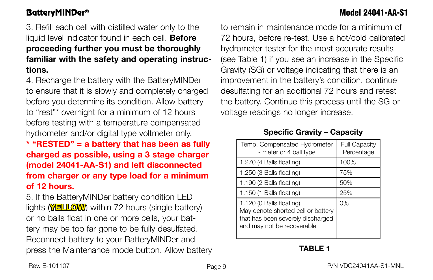# BatteryMINDer® Model 24041-AA-S1

3. Refill each cell with distilled water only to the liquid level indicator found in each cell. **Before proceeding further you must be thoroughly familiar with the safety and operating instructions.**

4. Recharge the battery with the BatteryMINDer to ensure that it is slowly and completely charged before you determine its condition. Allow battery to "rest"\* overnight for a minimum of 12 hours before testing with a temperature compensated hydrometer and/or digital type voltmeter only.

**\* "RESTED" = a battery that has been as fully charged as possible, using a 3 stage charger (model 24041-AA-S1) and left disconnected from charger or any type load for a minimum of 12 hours.**

5. If the BatteryMINDer battery condition LED lights **YELLOW**) within 72 hours (single battery) or no balls float in one or more cells, your battery may be too far gone to be fully desulfated. Reconnect battery to your BatteryMINDer and press the Maintenance mode button. Allow battery to remain in maintenance mode for a minimum of 72 hours, before re-test. Use a hot/cold calibrated hydrometer tester for the most accurate results (see Table 1) if you see an increase in the Specific Gravity (SG) or voltage indicating that there is an improvement in the battery's condition, continue desulfating for an additional 72 hours and retest the battery. Continue this process until the SG or voltage readings no longer increase.

### **Specific Gravity – Capacity**

| Temp. Compensated Hydrometer<br>- meter or 4 ball type                                                                            | <b>Full Capacity</b><br>Percentage |
|-----------------------------------------------------------------------------------------------------------------------------------|------------------------------------|
| 1.270 (4 Balls floating)                                                                                                          | 100%                               |
| 1.250 (3 Balls floating)                                                                                                          | 75%                                |
| 1.190 (2 Balls floating)                                                                                                          | 50%                                |
| 1.150 (1 Balls floating)                                                                                                          | 25%                                |
| 1.120 (0 Balls floating)<br>May denote shorted cell or battery<br>that has been severely discharged<br>and may not be recoverable | 0%                                 |

### **TABLE 1**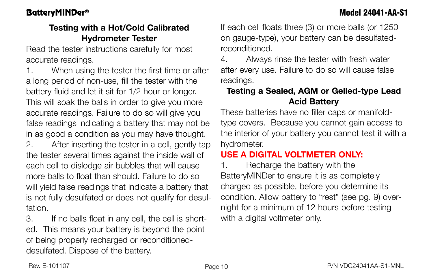### **Testing with a Hot/Cold Calibrated Hydrometer Tester**

Read the tester instructions carefully for most accurate readings.

1. When using the tester the first time or after a long period of non-use, fill the tester with the battery fluid and let it sit for 1/2 hour or longer. This will soak the balls in order to give you more accurate readings. Failure to do so will give you false readings indicating a battery that may not be in as good a condition as you may have thought.

2. After inserting the tester in a cell, gently tap the tester several times against the inside wall of each cell to dislodge air bubbles that will cause more balls to float than should. Failure to do so will yield false readings that indicate a battery that is not fully desulfated or does not qualify for desulfation.

3. If no balls float in any cell, the cell is shorted. This means your battery is beyond the point of being properly recharged or reconditioneddesulfated. Dispose of the battery.

If each cell floats three (3) or more balls (or 1250 on gauge-type), your battery can be desulfatedreconditioned.

4. Always rinse the tester with fresh water after every use. Failure to do so will cause false readings.

### **Testing a Sealed, AGM or Gelled-type Lead Acid Battery**

These batteries have no filler caps or manifoldtype covers. Because you cannot gain access to the interior of your battery you cannot test it with a hydrometer.

# **USE A DIGITAL VOLTMETER ONLY:**

1. Recharge the battery with the BatteryMINDer to ensure it is as completely charged as possible, before you determine its condition. Allow battery to "rest" (see pg. 9) overnight for a minimum of 12 hours before testing with a digital voltmeter only.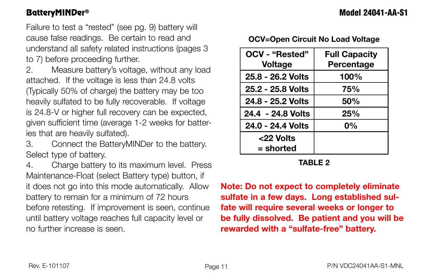Failure to test a "rested" (see pg. 9) battery will cause false readings. Be certain to read and understand all safety related instructions (pages 3 to 7) before proceeding further.

2. Measure battery's voltage, without any load attached. If the voltage is less than 24.8 volts (Typically 50% of charge) the battery may be too heavily sulfated to be fully recoverable. If voltage is 24.8-V or higher full recovery can be expected, given sufficient time (average 1-2 weeks for batteries that are heavily sulfated).

3. Connect the BatteryMINDer to the battery. Select type of battery.

4. Charge battery to its maximum level. Press Maintenance-Float (select Battery type) button, if it does not go into this mode automatically. Allow battery to remain for a minimum of 72 hours before retesting. If improvement is seen, continue until battery voltage reaches full capacity level or no further increase is seen.

**OCV=Open Circuit No Load Voltage**

| OCV - "Rested"    | <b>Full Capacity</b> |
|-------------------|----------------------|
| <b>Voltage</b>    | Percentage           |
| 25.8 - 26.2 Volts | 100%                 |
| 25.2 - 25.8 Volts | 75%                  |
| 24.8 - 25.2 Volts | 50%                  |
| 24.4 - 24.8 Volts | 25%                  |
| 24.0 - 24.4 Volts | 0%                   |
| <22 Volts         |                      |
| = shorted         |                      |

**TABLE 2**

**Note: Do not expect to completely eliminate sulfate in a few days. Long established sulfate will require several weeks or longer to be fully dissolved. Be patient and you will be rewarded with a "sulfate-free" battery.**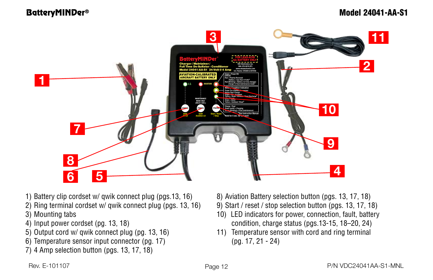BatteryMINDer® Model 24041-AA-S1



- 1) Battery clip cordset w/ qwik connect plug (pgs.13, 16)
- 2) Ring terminal cordset w/ qwik connect plug (pgs. 13, 16)
- 3) Mounting tabs
- 4) Input power cordset (pg. 13, 18)
- 5) Output cord w/ qwik connect plug (pg. 13, 16)
- 6) Temperature sensor input connector (pg. 17)
- $7)$  4 Amp selection button (pgs. 13, 17, 18)
- 8) Aviation Battery selection button (pgs. 13, 17, 18)
- 9) Start / reset / stop selection button (pgs. 13, 17, 18)
- 10) LED indicators for power, connection, fault, battery condition, charge status (pgs.13-15, 18–20, 24)
- 11) Temperature sensor with cord and ring terminal (pg. 17, 21 - 24)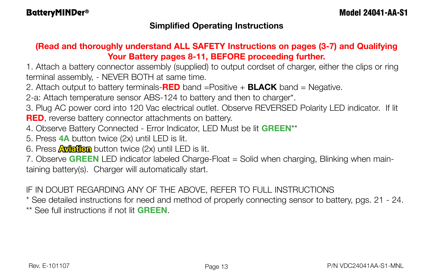### **Simplified Operating Instructions**

### **(Read and thoroughly understand ALL SAFETY Instructions on pages (3-7) and Qualifying Your Battery pages 8-11, BEFORE proceeding further.**

1. Attach a battery connector assembly (supplied) to output cordset of charger, either the clips or ring terminal assembly, - NEVER BOTH at same time.

2. Attach output to battery terminals-**RED** band =Positive + **BLACK** band = Negative.

2-a: Attach temperature sensor ABS-124 to battery and then to charger\*.

3. Plug AC power cord into 120 Vac electrical outlet. Observe REVERSED Polarity LED indicator. If lit **RED**, reverse battery connector attachments on battery.

- 4. Observe Battery Connected Error Indicator, LED Must be lit **GREEN**\*\*
- 5. Press **4A** button twice (2x) until LED is lit.
- 6. Press **Aviation** button twice (2x) until LED is lit.

7. Observe **GREEN** LED indicator labeled Charge-Float = Solid when charging, Blinking when maintaining battery(s). Charger will automatically start.

### IF IN DOUBT REGARDING ANY OF THE ABOVE, REFER TO FULL INSTRUCTIONS

\* See detailed instructions for need and method of properly connecting sensor to battery, pgs. 21 - 24. \*\* See full instructions if not lit **GREEN**.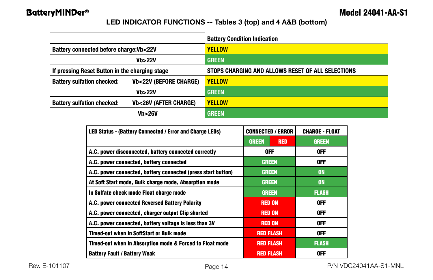### **LED INDICATOR FUNCTIONS -- Tables 3 (top) and 4 A&B (bottom)**

|                                                                       | <b>Battery Condition Indication</b>               |
|-----------------------------------------------------------------------|---------------------------------------------------|
| Battery connected before charge: Vb<22V                               | <b>YELLOW</b>                                     |
| Vb > 22V                                                              | <b>GREEN</b>                                      |
| If pressing Reset Button in the charging stage                        | STOPS CHARGING AND ALLOWS RESET OF ALL SELECTIONS |
| <b>Vb&lt;22V (BEFORE CHARGE)</b><br><b>Battery sulfation checked:</b> | <b>YELLOW</b>                                     |
| Vb > 22V                                                              | <b>GREEN</b>                                      |
| <b>Battery sulfation checked:</b><br><b>Vb&lt;26V (AFTER CHARGE)</b>  | <b>YELLOW</b>                                     |
| Vb > 26V                                                              | <b>GREEN</b>                                      |

| <b>LED Status - (Battery Connected / Error and Charge LEDs)</b> | <b>CONNECTED / ERROR</b>   | <b>CHARGE - FLOAT</b> |
|-----------------------------------------------------------------|----------------------------|-----------------------|
|                                                                 | <b>GREEN</b><br><b>RED</b> | <b>GREEN</b>          |
| A.C. power disconnected, battery connected correctly            | <b>OFF</b>                 | 0FF                   |
| A.C. power connected, battery connected                         | <b>GREEN</b>               | 0FF                   |
| A.C. power connected, battery connected (press start button)    | <b>GREEN</b>               | <b>ON</b>             |
| At Soft Start mode, Bulk charge mode, Absorption mode           | <b>GREEN</b>               | <b>ON</b>             |
| In Sulfate check mode Float charge mode                         | <b>GREEN</b>               | <b>FLASH</b>          |
| A.C. power connected Reversed Battery Polarity                  | <b>RED ON</b>              | 0FF                   |
| A.C. power connected, charger output Clip shorted               | <b>RED ON</b>              | <b>OFF</b>            |
| A.C. power connected, battery voltage is less than 3V           | <b>RED ON</b>              | <b>OFF</b>            |
| <b>Timed-out when in SoftStart or Bulk mode</b>                 | <b>RED FLASH</b>           | 0FF                   |
| Timed-out when in Absorption mode & Forced to Float mode        | <b>RED FLASH</b>           | <b>FLASH</b>          |
| <b>Battery Fault / Battery Weak</b>                             | <b>RED FLASH</b>           | 0FF                   |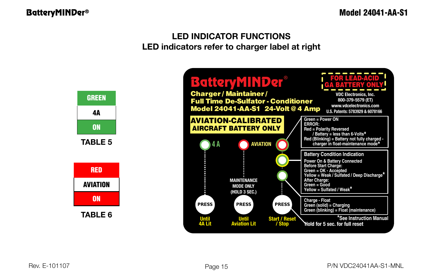### **LED INDICATOR FUNCTIONS LED indicators refer to charger label at right**

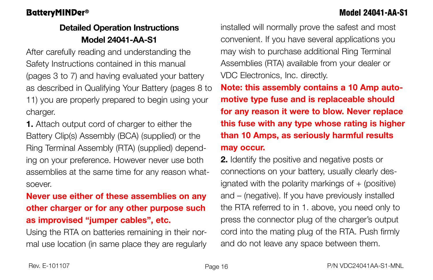# **Detailed Operation Instructions Model 24041-AA-S1**

After carefully reading and understanding the Safety Instructions contained in this manual (pages 3 to 7) and having evaluated your battery as described in Qualifying Your Battery (pages 8 to 11) you are properly prepared to begin using your charger.

**1.** Attach output cord of charger to either the Battery Clip(s) Assembly (BCA) (supplied) or the Ring Terminal Assembly (RTA) (supplied) depending on your preference. However never use both assemblies at the same time for any reason whatsoever.

# **Never use either of these assemblies on any other charger or for any other purpose such as improvised "jumper cables", etc.**

Using the RTA on batteries remaining in their normal use location (in same place they are regularly installed will normally prove the safest and most convenient. If you have several applications you may wish to purchase additional Ring Terminal Assemblies (RTA) available from your dealer or VDC Electronics, Inc. directly.

**Note: this assembly contains a 10 Amp automotive type fuse and is replaceable should for any reason it were to blow. Never replace this fuse with any type whose rating is higher than 10 Amps, as seriously harmful results may occur.**

**2.** Identify the positive and negative posts or connections on your battery, usually clearly designated with the polarity markings of  $+$  (positive) and – (negative). If you have previously installed the RTA referred to in 1. above, you need only to press the connector plug of the charger's output cord into the mating plug of the RTA. Push firmly and do not leave any space between them.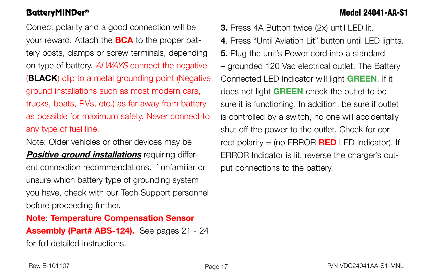# BatteryMINDer® Model 24041-AA-S1

Correct polarity and a good connection will be your reward. Attach the **BCA** to the proper battery posts, clamps or screw terminals, depending on type of battery. ALWAYS connect the negative (**Black**) clip to a metal grounding point (Negative ground installations such as most modern cars, trucks, boats, RVs, etc.) as far away from battery as possible for maximum safety. Never connect to any type of fuel line.

Note: Older vehicles or other devices may be **Positive ground installations** requiring different connection recommendations. If unfamiliar or unsure which battery type of grounding system you have, check with our Tech Support personnel before proceeding further.

**Note**: **Temperature Compensation Sensor Assembly (Part# ABS-124).** See pages 21 - 24 for full detailed instructions.

**3.** Press 4A Button twice (2x) until LED lit. **4**. Press "Until Aviation Lit" button until LED lights. **5.** Plug the unit's Power cord into a standard – grounded 120 Vac electrical outlet. The Battery Connected LED Indicator will light **GREEN**. If it does not light **GREEN** check the outlet to be sure it is functioning. In addition, be sure if outlet is controlled by a switch, no one will accidentally shut off the power to the outlet. Check for correct polarity = (no ERROR **RED** LED Indicator). If ERROR Indicator is lit, reverse the charger's output connections to the battery.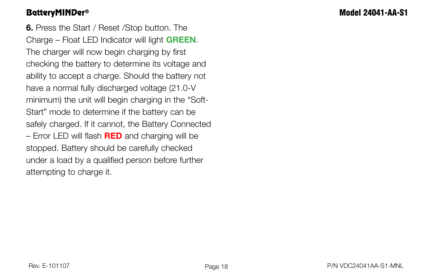**6.** Press the Start / Reset /Stop button. The Charge – Float LED Indicator will light **GREEN**. The charger will now begin charging by first checking the battery to determine its voltage and ability to accept a charge. Should the battery not have a normal fully discharged voltage (21.0-V minimum) the unit will begin charging in the "Soft-Start" mode to determine if the battery can be safely charged. If it cannot, the Battery Connected – Error LED will flash **RED** and charging will be stopped. Battery should be carefully checked under a load by a qualified person before further attempting to charge it.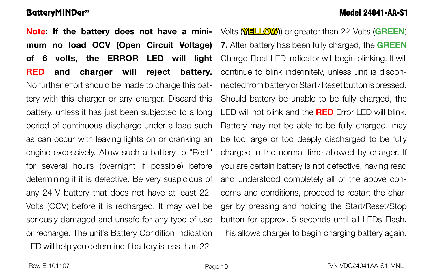**Note: If the battery does not have a mini-** Volts (**YELLOW**) or greater than 22-Volts (GREEN) **mum no load OCV (Open Circuit Voltage) of 6 volts, the ERROR LED will light RED and charger will reject battery.**  No further effort should be made to charge this battery with this charger or any charger. Discard this battery, unless it has just been subjected to a long period of continuous discharge under a load such as can occur with leaving lights on or cranking an engine excessively. Allow such a battery to "Rest" for several hours (overnight if possible) before determining if it is defective. Be very suspicious of any 24-V battery that does not have at least 22- Volts (OCV) before it is recharged. It may well be seriously damaged and unsafe for any type of use **7.** After battery has been fully charged, the **GREEN**

or recharge. The unit's Battery Condition Indication LED will help you determine if battery is less than 22-

Charge-Float LED Indicator will begin blinking. It will continue to blink indefinitely, unless unit is disconnected from battery or Start / Reset button is pressed. Should battery be unable to be fully charged, the LED will not blink and the **RED** Error LED will blink. Battery may not be able to be fully charged, may be too large or too deeply discharged to be fully charged in the normal time allowed by charger. If you are certain battery is not defective, having read and understood completely all of the above concerns and conditions, proceed to restart the charger by pressing and holding the Start/Reset/Stop button for approx. 5 seconds until all LEDs Flash. This allows charger to begin charging battery again.

BatteryMINDer® Model 24041-AA-S1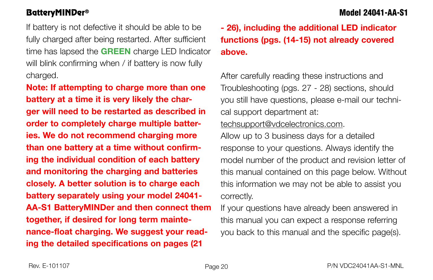If battery is not defective it should be able to be fully charged after being restarted. After sufficient time has lapsed the **GREEN** charge LED Indicator will blink confirming when / if battery is now fully charged.

**Note: If attempting to charge more than one battery at a time it is very likely the charger will need to be restarted as described in order to completely charge multiple batteries. We do not recommend charging more than one battery at a time without confirming the individual condition of each battery and monitoring the charging and batteries closely. A better solution is to charge each battery separately using your model 24041- AA-S1 BatteryMINDer and then connect them together, if desired for long term maintenance-float charging. We suggest your reading the detailed specifications on pages (21** 

**- 26), including the additional LED indicator functions (pgs. (14-15) not already covered above.**

After carefully reading these instructions and Troubleshooting (pgs. 27 - 28) sections, should you still have questions, please e-mail our technical support department at: techsupport@vdcelectronics.com.

Allow up to 3 business days for a detailed response to your questions. Always identify the model number of the product and revision letter of this manual contained on this page below. Without this information we may not be able to assist you correctly.

If your questions have already been answered in this manual you can expect a response referring you back to this manual and the specific page(s).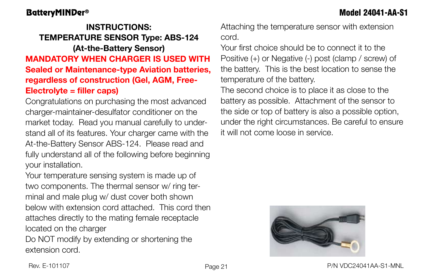# **INSTRUCTIONS: TEMPERATURE SENSOR Type: ABS-124 (At-the-Battery Sensor) MANDATORY WHEN CHARGER IS USED WITH Sealed or Maintenance-type Aviation batteries, regardless of construction (Gel, AGM, Free-Electrolyte = filler caps)**

Congratulations on purchasing the most advanced charger-maintainer-desulfator conditioner on the market today. Read you manual carefully to understand all of its features. Your charger came with the At-the-Battery Sensor ABS-124. Please read and fully understand all of the following before beginning your installation.

Your temperature sensing system is made up of two components. The thermal sensor w/ ring terminal and male plug w/ dust cover both shown below with extension cord attached. This cord then attaches directly to the mating female receptacle located on the charger

Do NOT modify by extending or shortening the extension cord.

Attaching the temperature sensor with extension cord.

Your first choice should be to connect it to the Positive (+) or Negative (-) post (clamp / screw) of the battery. This is the best location to sense the temperature of the battery.

The second choice is to place it as close to the battery as possible. Attachment of the sensor to the side or top of battery is also a possible option, under the right circumstances. Be careful to ensure it will not come loose in service.

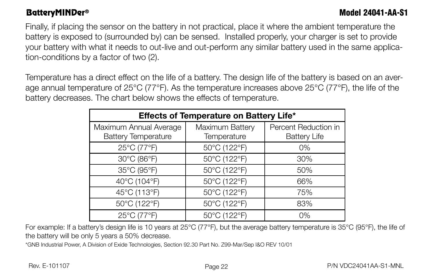Finally, if placing the sensor on the battery in not practical, place it where the ambient temperature the battery is exposed to (surrounded by) can be sensed. Installed properly, your charger is set to provide your battery with what it needs to out-live and out-perform any similar battery used in the same application-conditions by a factor of two (2).

Temperature has a direct effect on the life of a battery. The design life of the battery is based on an average annual temperature of 25°C (77°F). As the temperature increases above 25°C (77°F), the life of the battery decreases. The chart below shows the effects of temperature.

| Effects of Temperature on Battery Life* |                 |                      |  |
|-----------------------------------------|-----------------|----------------------|--|
| Maximum Annual Average                  | Maximum Battery | Percent Reduction in |  |
| <b>Battery Temperature</b>              | Temperature     | <b>Battery Life</b>  |  |
| 25°C (77°F)                             | 50°C (122°F)    | $0\%$                |  |
| 30°C (86°F)                             | 50°C (122°F)    | 30%                  |  |
| 35°C (95°F)                             | 50°C (122°F)    | 50%                  |  |
| 40°C (104°F)                            | 50°C (122°F)    | 66%                  |  |
| 45°C (113°F)                            | 50°C (122°F)    | 75%                  |  |
| 50°C (122°F)                            | 50°C (122°F)    | 83%                  |  |
| 25°C (77°F)                             | 50°C (122°F)    | 0%                   |  |

For example: If a battery's design life is 10 years at 25°C (77°F), but the average battery temperature is 35°C (95°F), the life of the battery will be only 5 years a 50% decrease.

\*GNB Industrial Power, A Division of Exide Technologies, Section 92.30 Part No. Z99-Mar/Sep I&O REV 10/01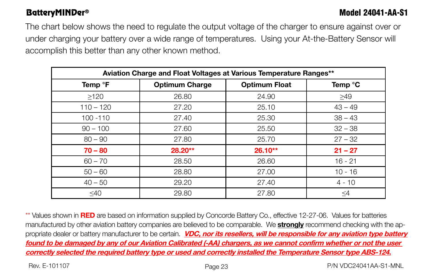The chart below shows the need to regulate the output voltage of the charger to ensure against over or under charging your battery over a wide range of temperatures. Using your At-the-Battery Sensor will accomplish this better than any other known method.

| Aviation Charge and Float Voltages at Various Temperature Ranges** |                       |                      |           |
|--------------------------------------------------------------------|-----------------------|----------------------|-----------|
| Temp <sup>o</sup> F                                                | <b>Optimum Charge</b> | <b>Optimum Float</b> | Temp °C   |
| >120                                                               | 26.80                 | 24.90                | >49       |
| $110 - 120$                                                        | 27.20                 | 25.10                | $43 - 49$ |
| $100 - 110$                                                        | 27.40                 | 25.30                | $38 - 43$ |
| $90 - 100$                                                         | 27.60                 | 25.50                | $32 - 38$ |
| $80 - 90$                                                          | 27.80                 | 25.70                | $27 - 32$ |
| $70 - 80$                                                          | 28.20**               | 26.10**              | $21 - 27$ |
| $60 - 70$                                                          | 28.50                 | 26.60                | $16 - 21$ |
| $50 - 60$                                                          | 28.80                 | 27.00                | $10 - 16$ |
| $40 - 50$                                                          | 29.20                 | 27.40                | $4 - 10$  |
| $<$ 40                                                             | 29.80                 | 27.80                | $\leq$ 4  |

\*\* Values shown in **RED** are based on information supplied by Concorde Battery Co., effective 12-27-06. Values for batteries manufactured by other aviation battery companies are believed to be comparable. We **strongly** recommend checking with the appropriate dealer or battery manufacturer to be certain. **VDC, nor its resellers, will be responsible for any aviation type battery found to be damaged by any of our Aviation Calibrated (-AA) chargers, as we cannot confirm whether or not the user correctly selected the required battery type or used and correctly installed the Temperature Sensor type ABS-124.**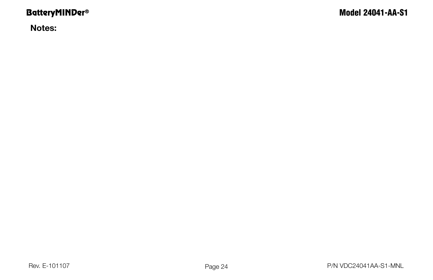**Notes:**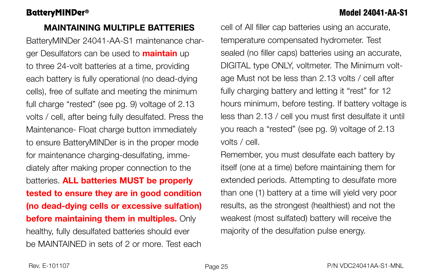### **MAINTAINING MULTIPLE BATTERIES**

BatteryMINDer 24041-AA-S1 maintenance charger Desulfators can be used to **maintain** up to three 24-volt batteries at a time, providing each battery is fully operational (no dead-dying cells), free of sulfate and meeting the minimum full charge "rested" (see pg. 9) voltage of 2.13 volts / cell, after being fully desulfated. Press the Maintenance- Float charge button immediately to ensure BatteryMINDer is in the proper mode for maintenance charging-desulfating, immediately after making proper connection to the batteries. **ALL batteries MUST be properly tested to ensure they are in good condition (no dead-dying cells or excessive sulfation) before maintaining them in multiples.** Only healthy, fully desulfated batteries should ever be MAINTAINED in sets of 2 or more. Test each

cell of All filler cap batteries using an accurate, temperature compensated hydrometer. Test sealed (no filler caps) batteries using an accurate, DIGITAL type ONLY, voltmeter. The Minimum voltage Must not be less than 2.13 volts / cell after fully charging battery and letting it "rest" for 12 hours minimum, before testing. If battery voltage is less than 2.13 / cell you must first desulfate it until you reach a "rested" (see pg. 9) voltage of 2.13 volts / cell.

Remember, you must desulfate each battery by itself (one at a time) before maintaining them for extended periods. Attempting to desulfate more than one (1) battery at a time will yield very poor results, as the strongest (healthiest) and not the weakest (most sulfated) battery will receive the majority of the desulfation pulse energy.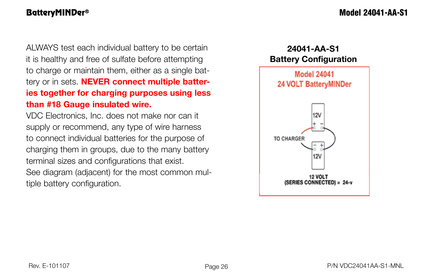ALWAYS test each individual battery to be certain it is healthy and free of sulfate before attempting to charge or maintain them, either as a single battery or in sets. **NEVER connect multiple batteries together for charging purposes using less than #18 Gauge insulated wire.**

VDC Electronics, Inc. does not make nor can it supply or recommend, any type of wire harness to connect individual batteries for the purpose of charging them in groups, due to the many battery terminal sizes and configurations that exist. See diagram (adjacent) for the most common multiple battery configuration.



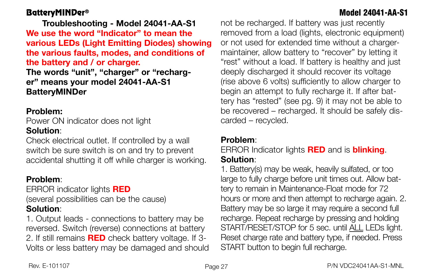**Troubleshooting - Model 24041-AA-S1 We use the word "Indicator" to mean the various LEDs (Light Emitting Diodes) showing the various faults, modes, and conditions of the battery and / or charger. The words "unit", "charger" or "recharger" means your model 24041-AA-S1 BatteryMINDer** 

### **Problem:**

Power ON indicator does not light **Solution**:

Check electrical outlet. If controlled by a wall switch be sure switch is on and try to prevent accidental shutting it off while charger is working.

# **Problem**:

ERROR indicator lights **RED** (several possibilities can be the cause) **Solution**:

1. Output leads - connections to battery may be reversed. Switch (reverse) connections at battery 2. If still remains **RED** check battery voltage. If 3- Volts or less battery may be damaged and should not be recharged. If battery was just recently removed from a load (lights, electronic equipment) or not used for extended time without a chargermaintainer, allow battery to "recover" by letting it "rest" without a load. If battery is healthy and just deeply discharged it should recover its voltage (rise above 6 volts) sufficiently to allow charger to begin an attempt to fully recharge it. If after battery has "rested" (see pg. 9) it may not be able to be recovered – recharged. It should be safely discarded – recycled.

### **Problem**:

ERROR Indicator lights **RED** and is **blinking**. **Solution**:

1. Battery(s) may be weak, heavily sulfated, or too large to fully charge before unit times out. Allow battery to remain in Maintenance-Float mode for 72 hours or more and then attempt to recharge again. 2. Battery may be so large it may require a second full recharge. Repeat recharge by pressing and holding START/RESET/STOP for 5 sec. until ALL LEDs light. Reset charge rate and battery type, if needed. Press START button to begin full recharge.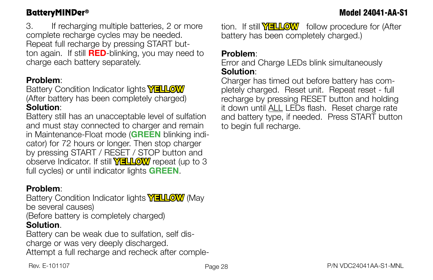3. If recharging multiple batteries, 2 or more complete recharge cycles may be needed. Repeat full recharge by pressing START button again. If still **RED**-blinking, you may need to charge each battery separately.

### **Problem**:

Battery Condition Indicator lights **YELLOW** (After battery has been completely charged) **Solution**:

Battery still has an unacceptable level of sulfation and must stay connected to charger and remain in Maintenance-Float mode (**GREEN** blinking indicator) for 72 hours or longer. Then stop charger by pressing START / RESET / STOP button and observe Indicator. If still **YELLOW** repeat (up to 3 full cycles) or until indicator lights **GREEN**.

### **Problem**:

Battery Condition Indicator lights **YELLOW** (May be several causes) (Before battery is completely charged) **Solution**.

Battery can be weak due to sulfation, self discharge or was very deeply discharged. Attempt a full recharge and recheck after completion. If still **YELLOW** follow procedure for (After battery has been completely charged.)

### **Problem**:

Error and Charge LEDs blink simultaneously **Solution**:

Charger has timed out before battery has completely charged. Reset unit. Repeat reset - full recharge by pressing RESET button and holding it down until ALL LEDs flash. Reset charge rate and battery type, if needed. Press START button to begin full recharge.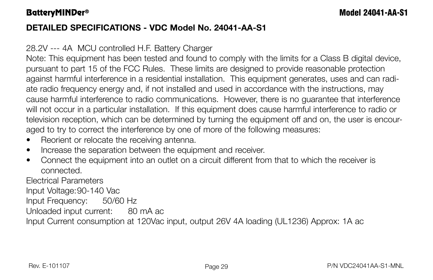# **DETAILED SPECIFICATIONS - VDC Model No. 24041-AA-S1**

# 28.2V --- 4A MCU controlled H.F. Battery Charger

Note: This equipment has been tested and found to comply with the limits for a Class B digital device, pursuant to part 15 of the FCC Rules. These limits are designed to provide reasonable protection against harmful interference in a residential installation. This equipment generates, uses and can radiate radio frequency energy and, if not installed and used in accordance with the instructions, may cause harmful interference to radio communications. However, there is no guarantee that interference will not occur in a particular installation. If this equipment does cause harmful interference to radio or television reception, which can be determined by turning the equipment off and on, the user is encouraged to try to correct the interference by one of more of the following measures:

- Reorient or relocate the receiving antenna.
- Increase the separation between the equipment and receiver.
- Connect the equipment into an outlet on a circuit different from that to which the receiver is connected.

Electrical Parameters

Input Voltage:90-140 Vac

Input Frequency: 50/60 Hz

Unloaded input current: 80 mA ac

Input Current consumption at 120Vac input, output 26V 4A loading (UL1236) Approx: 1A ac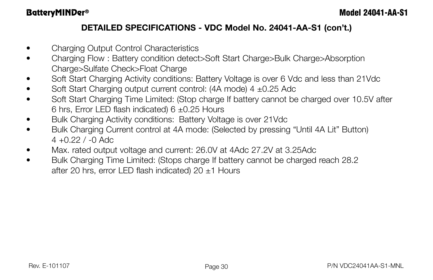# **DETAILED SPECIFICATIONS - VDC Model No. 24041-AA-S1 (con't.)**

- Charging Output Control Characteristics
- Charging Flow : Battery condition detect>Soft Start Charge>Bulk Charge>Absorption Charge>Sulfate Check>Float Charge
- Soft Start Charging Activity conditions: Battery Voltage is over 6 Vdc and less than 21Vdc
- Soft Start Charging output current control:  $(4A \text{ mode})$  4  $\pm$ 0.25 Adc
- Soft Start Charging Time Limited: (Stop charge If battery cannot be charged over 10.5V after 6 hrs, Error LED flash indicated) 6 ±0.25 Hours
- Bulk Charging Activity conditions: Battery Voltage is over 21Vdc
- Bulk Charging Current control at 4A mode: (Selected by pressing "Until 4A Lit" Button)  $4 + 0.22$  /  $-0$  Adc
- Max. rated output voltage and current: 26.0V at 4Adc 27.2V at 3.25Adc
- Bulk Charging Time Limited: (Stops charge If battery cannot be charged reach 28.2) after 20 hrs, error LED flash indicated) 20  $\pm$ 1 Hours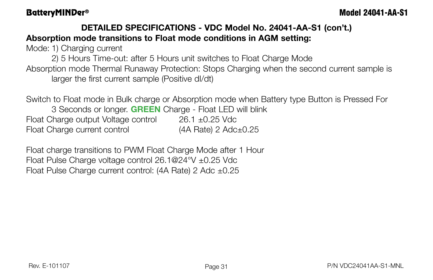# **DETAILED SPECIFICATIONS - VDC Model No. 24041-AA-S1 (con't.) Absorption mode transitions to Float mode conditions in AGM setting:**

Mode: 1) Charging current

2) 5 Hours Time-out: after 5 Hours unit switches to Float Charge Mode Absorption mode Thermal Runaway Protection: Stops Charging when the second current sample is larger the first current sample (Positive dI/dt)

Switch to Float mode in Bulk charge or Absorption mode when Battery type Button is Pressed For 3 Seconds or longer. **GREEN** Charge - Float LED will blink Float Charge output Voltage control 26.1 ±0.25 Vdc Float Charge current control (4A Rate) 2 Adc±0.25

Float charge transitions to PWM Float Charge Mode after 1 Hour Float Pulse Charge voltage control 26.1@24°V ±0.25 Vdc Float Pulse Charge current control: (4A Rate) 2 Adc ±0.25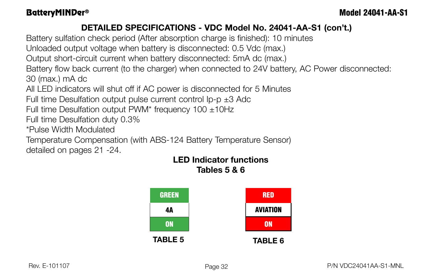# **DETAILED SPECIFICATIONS - VDC Model No. 24041-AA-S1 (con't.)**

Battery sulfation check period (After absorption charge is finished): 10 minutes

Unloaded output voltage when battery is disconnected: 0.5 Vdc (max.)

Output short-circuit current when battery disconnected: 5mA dc (max.)

Battery flow back current (to the charger) when connected to 24V battery, AC Power disconnected: 30 (max.) mA dc

All LED indicators will shut off if AC power is disconnected for 5 Minutes

Full time Desulfation output pulse current control  $lp-p \pm 3$  Adc

Full time Desulfation output PWM\* frequency  $100 \pm 10$ Hz

Full time Desulfation duty 0.3%

\*Pulse Width Modulated

Temperature Compensation (with ABS-124 Battery Temperature Sensor) detailed on pages 21 -24.

### **LED Indicator functions Tables 5 & 6**

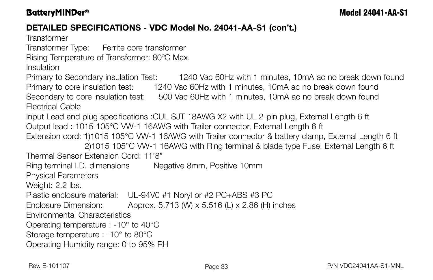# **DETAILED SPECIFICATIONS - VDC Model No. 24041-AA-S1 (con't.)**

**Transformer** 

Transformer Type: Ferrite core transformer

Rising Temperature of Transformer: 80ºC Max.

Insulation

Primary to Secondary insulation Test: 1240 Vac 60Hz with 1 minutes, 10mA ac no break down found Primary to core insulation test: 1240 Vac 60Hz with 1 minutes, 10mA ac no break down found Secondary to core insulation test: 500 Vac 60Hz with 1 minutes, 10mA ac no break down found Electrical Cable

Input Lead and plug specifications :CUL SJT 18AWG X2 with UL 2-pin plug, External Length 6 ft Output lead : 1015 105°C VW-1 16AWG with Trailer connector, External Length 6 ft Extension cord: 1)1015 105°C VW-1 16AWG with Trailer connector & battery clamp, External Length 6 ft

 2)1015 105°C VW-1 16AWG with Ring terminal & blade type Fuse, External Length 6 ft Thermal Sensor Extension Cord: 11'8"

Ring terminal I.D. dimensions Negative 8mm, Positive 10mm

Physical Parameters

Weight: 2.2 lbs.

Plastic enclosure material: UL-94V0 #1 Noryl or #2 PC+ABS #3 PC

Enclosure Dimension: Approx. 5.713 (W) x 5.516 (L) x 2.86 (H) inches

Environmental Characteristics

Operating temperature : -10° to 40°C

Storage temperature : -10° to 80°C

Operating Humidity range: 0 to 95% RH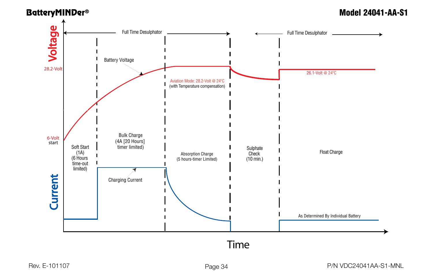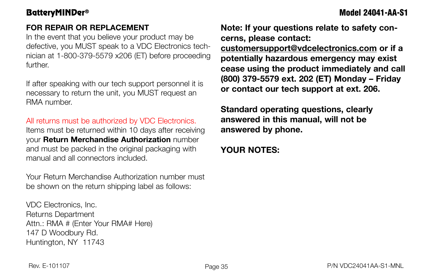# **FOR REPAIR OR REPLACEMENT**

In the event that you believe your product may be defective, you MUST speak to a VDC Electronics technician at 1-800-379-5579 x206 (ET) before proceeding further.

If after speaking with our tech support personnel it is necessary to return the unit, you MUST request an RMA number.

### All returns must be authorized by VDC Electronics.

Items must be returned within 10 days after receiving your **Return Merchandise Authorization** number and must be packed in the original packaging with manual and all connectors included.

Your Return Merchandise Authorization number must be shown on the return shipping label as follows:

VDC Electronics, Inc. Returns Department Attn.: RMA # (Enter Your RMA# Here) 147 D Woodbury Rd. Huntington, NY 11743

**Note: If your questions relate to safety concerns, please contact:**

**customersupport@vdcelectronics.com or if a potentially hazardous emergency may exist cease using the product immediately and call (800) 379-5579 ext. 202 (ET) Monday – Friday or contact our tech support at ext. 206.**

**Standard operating questions, clearly answered in this manual, will not be answered by phone.**

# **YOUR NOTES:**